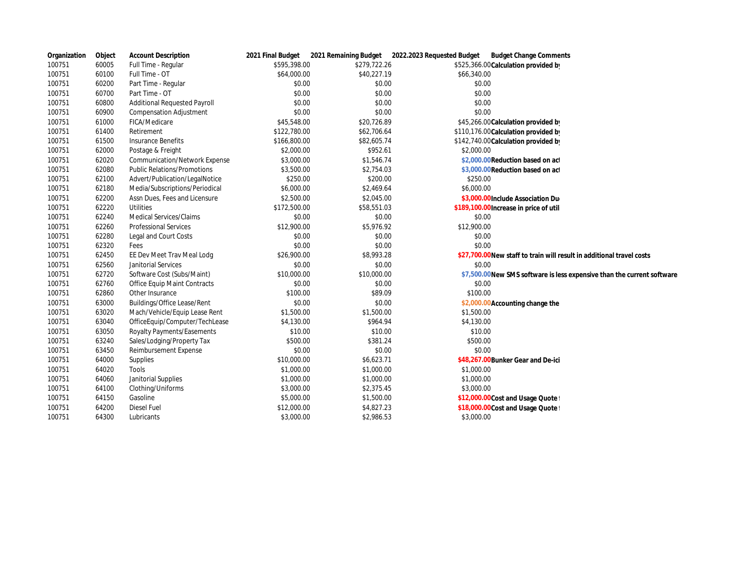| Organization | Object | <b>Account Description</b>         |              |              | 2021 Final Budget 2021 Remaining Budget 2022.2023 Requested Budget<br><b>Budget Change Comments</b> |
|--------------|--------|------------------------------------|--------------|--------------|-----------------------------------------------------------------------------------------------------|
| 100751       | 60005  | Full Time - Regular                | \$595,398.00 | \$279,722.26 | \$525,366.00 Calculation provided by                                                                |
| 100751       | 60100  | Full Time - OT                     | \$64,000.00  | \$40,227.19  | \$66,340.00                                                                                         |
| 100751       | 60200  | Part Time - Regular                | \$0.00       | \$0.00       | \$0.00                                                                                              |
| 100751       | 60700  | Part Time - OT                     | \$0.00       | \$0.00       | \$0.00                                                                                              |
| 100751       | 60800  | Additional Requested Payroll       | \$0.00       | \$0.00       | \$0.00                                                                                              |
| 100751       | 60900  | <b>Compensation Adjustment</b>     | \$0.00       | \$0.00       | \$0.00                                                                                              |
| 100751       | 61000  | FICA/Medicare                      | \$45,548.00  | \$20,726.89  | \$45,266.00 Calculation provided by                                                                 |
| 100751       | 61400  | Retirement                         | \$122,780.00 | \$62,706.64  | \$110,176.00 Calculation provided by                                                                |
| 100751       | 61500  | Insurance Benefits                 | \$166,800.00 | \$82,605.74  | \$142,740.00 Calculation provided by                                                                |
| 100751       | 62000  | Postage & Freight                  | \$2,000.00   | \$952.61     | \$2,000.00                                                                                          |
| 100751       | 62020  | Communication/Network Expense      | \$3,000.00   | \$1,546.74   | \$2,000.00 Reduction based on act                                                                   |
| 100751       | 62080  | <b>Public Relations/Promotions</b> | \$3,500.00   | \$2,754.03   | \$3,000.00 Reduction based on act                                                                   |
| 100751       | 62100  | Advert/Publication/LegalNotice     | \$250.00     | \$200.00     | \$250.00                                                                                            |
| 100751       | 62180  | Media/Subscriptions/Periodical     | \$6,000.00   | \$2,469.64   | \$6,000.00                                                                                          |
| 100751       | 62200  | Assn Dues, Fees and Licensure      | \$2,500.00   | \$2,045.00   | \$3,000.00 Include Association Du                                                                   |
| 100751       | 62220  | <b>Utilities</b>                   | \$172,500.00 | \$58,551.03  | \$189,100.00 Increase in price of util                                                              |
| 100751       | 62240  | Medical Services/Claims            | \$0.00       | \$0.00       | \$0.00                                                                                              |
| 100751       | 62260  | <b>Professional Services</b>       | \$12,900.00  | \$5,976.92   | \$12,900.00                                                                                         |
| 100751       | 62280  | Legal and Court Costs              | \$0.00       | \$0.00       | \$0.00                                                                                              |
| 100751       | 62320  | Fees                               | \$0.00       | \$0.00       | \$0.00                                                                                              |
| 100751       | 62450  | EE Dev Meet Trav Meal Lodg         | \$26,900.00  | \$8,993.28   | \$27,700.00 New staff to train will result in additional travel costs                               |
| 100751       | 62560  | Janitorial Services                | \$0.00       | \$0.00       | \$0.00                                                                                              |
| 100751       | 62720  | Software Cost (Subs/Maint)         | \$10,000.00  | \$10,000.00  | \$7,500.00 New SMS software is less expensive than the current software                             |
| 100751       | 62760  | Office Equip Maint Contracts       | \$0.00       | \$0.00       | \$0.00                                                                                              |
| 100751       | 62860  | Other Insurance                    | \$100.00     | \$89.09      | \$100.00                                                                                            |
| 100751       | 63000  | Buildings/Office Lease/Rent        | \$0.00       | \$0.00       | \$2,000.00Accounting change the                                                                     |
| 100751       | 63020  | Mach/Vehicle/Equip Lease Rent      | \$1,500.00   | \$1,500.00   | \$1,500.00                                                                                          |
| 100751       | 63040  | OfficeEquip/Computer/TechLease     | \$4,130.00   | \$964.94     | \$4,130.00                                                                                          |
| 100751       | 63050  | Royalty Payments/Easements         | \$10.00      | \$10.00      | \$10.00                                                                                             |
| 100751       | 63240  | Sales/Lodging/Property Tax         | \$500.00     | \$381.24     | \$500.00                                                                                            |
| 100751       | 63450  | Reimbursement Expense              | \$0.00       | \$0.00       | \$0.00                                                                                              |
| 100751       | 64000  | Supplies                           | \$10,000.00  | \$6,623.71   | \$48,267.00 Bunker Gear and De-ici                                                                  |
| 100751       | 64020  | Tools                              | \$1,000.00   | \$1,000.00   | \$1,000.00                                                                                          |
| 100751       | 64060  | Janitorial Supplies                | \$1,000.00   | \$1,000.00   | \$1,000.00                                                                                          |
| 100751       | 64100  | Clothing/Uniforms                  | \$3,000.00   | \$2,375.45   | \$3,000.00                                                                                          |
| 100751       | 64150  | Gasoline                           | \$5,000.00   | \$1,500.00   | \$12,000.00Cost and Usage Quote                                                                     |
| 100751       | 64200  | Diesel Fuel                        | \$12,000.00  | \$4,827.23   | \$18,000.00 Cost and Usage Quote                                                                    |
| 100751       | 64300  | Lubricants                         | \$3,000.00   | \$2,986.53   | \$3,000.00                                                                                          |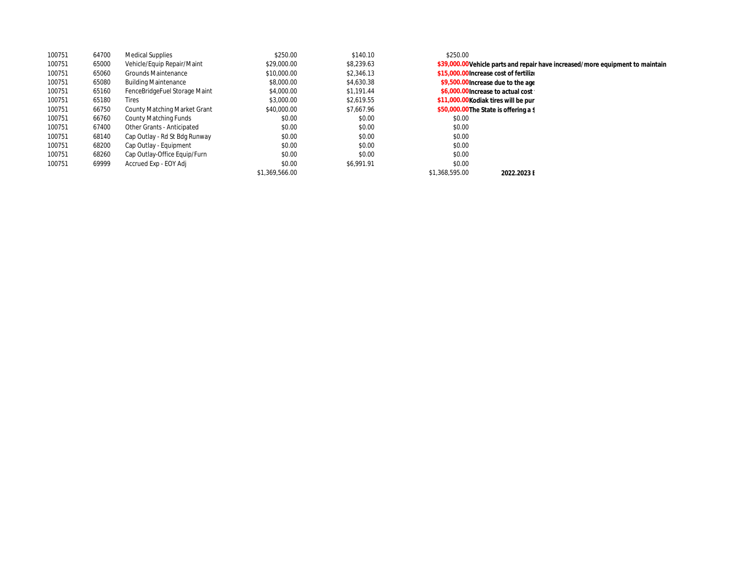| 100751 | 64700 | <b>Medical Supplies</b>       | \$250.00       | \$140.10   | \$250.00                                                                       |                                        |
|--------|-------|-------------------------------|----------------|------------|--------------------------------------------------------------------------------|----------------------------------------|
| 100751 | 65000 | Vehicle/Equip Repair/Maint    | \$29,000.00    | \$8.239.63 | \$39,000.00 Vehicle parts and repair have increased/more equipment to maintain |                                        |
| 100751 | 65060 | <b>Grounds Maintenance</b>    | \$10,000.00    | \$2.346.13 |                                                                                | \$15,000.00 Increase cost of fertilize |
| 100751 | 65080 | <b>Building Maintenance</b>   | \$8,000.00     | \$4,630.38 | \$9,500.00 increase due to the age                                             |                                        |
| 100751 | 65160 | FenceBridgeFuel Storage Maint | \$4,000.00     | \$1.191.44 | \$6,000.00 increase to actual cost                                             |                                        |
| 100751 | 65180 | Tires                         | \$3,000.00     | \$2.619.55 | \$11,000.00 Kodiak tires will be pur                                           |                                        |
| 100751 | 66750 | County Matching Market Grant  | \$40,000.00    | \$7.667.96 | \$50,000.00The State is offering a \$                                          |                                        |
| 100751 | 66760 | County Matching Funds         | \$0.00         | \$0.00     | \$0.00                                                                         |                                        |
| 100751 | 67400 | Other Grants - Anticipated    | \$0.00         | \$0.00     | \$0.00                                                                         |                                        |
| 100751 | 68140 | Cap Outlay - Rd St Bdg Runway | \$0.00         | \$0.00     | \$0.00                                                                         |                                        |
| 100751 | 68200 | Cap Outlay - Equipment        | \$0.00         | \$0.00     | \$0.00                                                                         |                                        |
| 100751 | 68260 | Cap Outlay-Office Equip/Furn  | \$0.00         | \$0.00     | \$0.00                                                                         |                                        |
| 100751 | 69999 | Accrued Exp - EOY Adj         | \$0.00         | \$6.991.91 | \$0.00                                                                         |                                        |
|        |       |                               | \$1.369.566.00 |            | \$1.368.595.00                                                                 | 2022.2023 E                            |